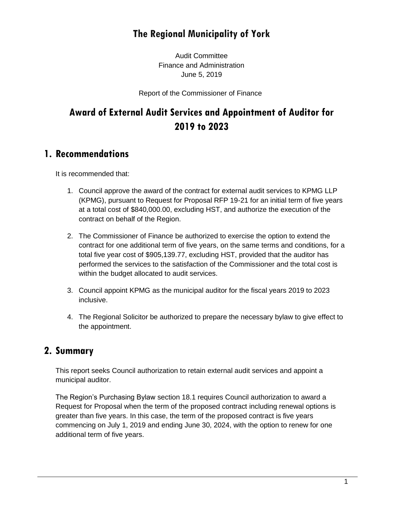# **The Regional Municipality of York**

Audit Committee Finance and Administration June 5, 2019

Report of the Commissioner of Finance

# **Award of External Audit Services and Appointment of Auditor for 2019 to 2023**

### **1. Recommendations**

It is recommended that:

- 1. Council approve the award of the contract for external audit services to KPMG LLP (KPMG), pursuant to Request for Proposal RFP 19-21 for an initial term of five years at a total cost of \$840,000.00, excluding HST, and authorize the execution of the contract on behalf of the Region.
- 2. The Commissioner of Finance be authorized to exercise the option to extend the contract for one additional term of five years, on the same terms and conditions, for a total five year cost of \$905,139.77, excluding HST, provided that the auditor has performed the services to the satisfaction of the Commissioner and the total cost is within the budget allocated to audit services.
- 3. Council appoint KPMG as the municipal auditor for the fiscal years 2019 to 2023 inclusive.
- 4. The Regional Solicitor be authorized to prepare the necessary bylaw to give effect to the appointment.

### **2. Summary**

This report seeks Council authorization to retain external audit services and appoint a municipal auditor.

The Region's Purchasing Bylaw section 18.1 requires Council authorization to award a Request for Proposal when the term of the proposed contract including renewal options is greater than five years. In this case, the term of the proposed contract is five years commencing on July 1, 2019 and ending June 30, 2024, with the option to renew for one additional term of five years.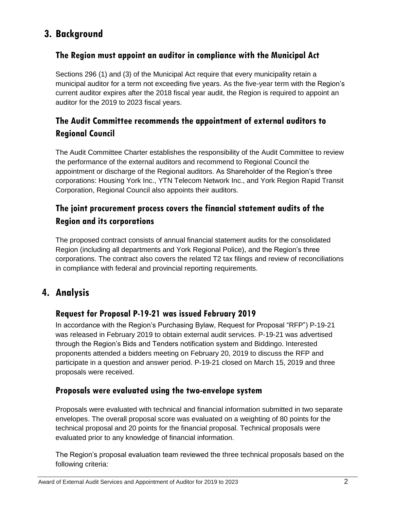## **3. Background**

### **The Region must appoint an auditor in compliance with the Municipal Act**

Sections 296 (1) and (3) of the Municipal Act require that every municipality retain a municipal auditor for a term not exceeding five years. As the five-year term with the Region's current auditor expires after the 2018 fiscal year audit, the Region is required to appoint an auditor for the 2019 to 2023 fiscal years.

### **The Audit Committee recommends the appointment of external auditors to Regional Council**

The Audit Committee Charter establishes the responsibility of the Audit Committee to review the performance of the external auditors and recommend to Regional Council the appointment or discharge of the Regional auditors. As Shareholder of the Region's three corporations: Housing York Inc., YTN Telecom Network Inc., and York Region Rapid Transit Corporation, Regional Council also appoints their auditors.

### **The joint procurement process covers the financial statement audits of the Region and its corporations**

The proposed contract consists of annual financial statement audits for the consolidated Region (including all departments and York Regional Police), and the Region's three corporations. The contract also covers the related T2 tax filings and review of reconciliations in compliance with federal and provincial reporting requirements.

## **4. Analysis**

### **Request for Proposal P-19-21 was issued February 2019**

In accordance with the Region's Purchasing Bylaw, Request for Proposal "RFP") P-19-21 was released in February 2019 to obtain external audit services. P-19-21 was advertised through the Region's Bids and Tenders notification system and Biddingo. Interested proponents attended a bidders meeting on February 20, 2019 to discuss the RFP and participate in a question and answer period. P-19-21 closed on March 15, 2019 and three proposals were received.

### **Proposals were evaluated using the two-envelope system**

Proposals were evaluated with technical and financial information submitted in two separate envelopes. The overall proposal score was evaluated on a weighting of 80 points for the technical proposal and 20 points for the financial proposal. Technical proposals were evaluated prior to any knowledge of financial information.

The Region's proposal evaluation team reviewed the three technical proposals based on the following criteria: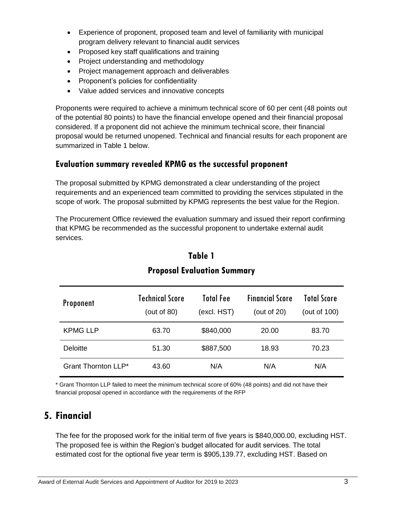- Experience of proponent, proposed team and level of familiarity with municipal program delivery relevant to financial audit services
- Proposed key staff qualifications and training
- Project understanding and methodology
- Project management approach and deliverables
- Proponent's policies for confidentiality
- Value added services and innovative concepts

Proponents were required to achieve a minimum technical score of 60 per cent (48 points out of the potential 80 points) to have the financial envelope opened and their financial proposal considered. If a proponent did not achieve the minimum technical score, their financial proposal would be returned unopened. Technical and financial results for each proponent are summarized in Table 1 below.

### **Evaluation summary revealed KPMG as the successful proponent**

The proposal submitted by KPMG demonstrated a clear understanding of the project requirements and an experienced team committed to providing the services stipulated in the scope of work. The proposal submitted by KPMG represents the best value for the Region.

The Procurement Office reviewed the evaluation summary and issued their report confirming that KPMG be recommended as the successful proponent to undertake external audit services.

| <b>Proponent</b>    | <b>Technical Score</b><br>(out of $80$ ) | <b>Total Fee</b><br>(excl. HST) | <b>Financial Score</b><br>(out of $20$ ) | <b>Total Score</b><br>(out of 100) |
|---------------------|------------------------------------------|---------------------------------|------------------------------------------|------------------------------------|
| <b>KPMG LLP</b>     | 63.70                                    | \$840,000                       | 20.00                                    | 83.70                              |
| <b>Deloitte</b>     | 51.30                                    | \$887,500                       | 18.93                                    | 70.23                              |
| Grant Thornton LLP* | 43.60                                    | N/A                             | N/A                                      | N/A                                |

## **Table 1 Proposal Evaluation Summary**

\* Grant Thornton LLP failed to meet the minimum technical score of 60% (48 points) and did not have their financial proposal opened in accordance with the requirements of the RFP

## **5. Financial**

The fee for the proposed work for the initial term of five years is \$840,000.00, excluding HST. The proposed fee is within the Region's budget allocated for audit services. The total estimated cost for the optional five year term is \$905,139.77, excluding HST. Based on